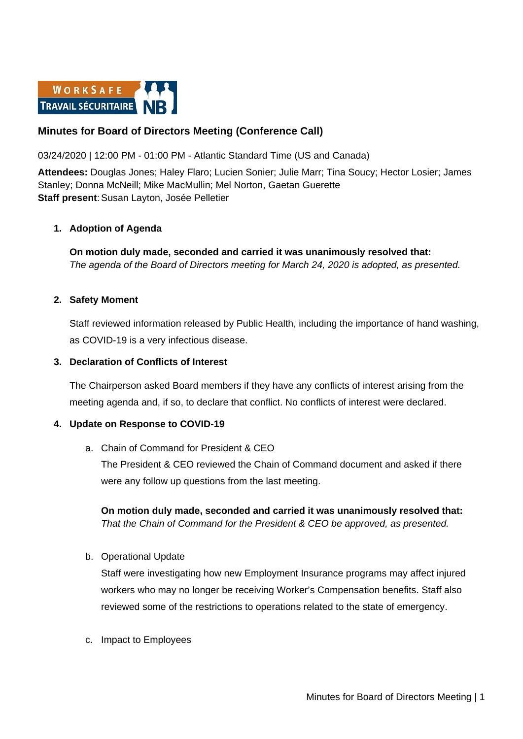

# **Minutes for Board of Directors Meeting (Conference Call)**

03/24/2020 | 12:00 PM - 01:00 PM - Atlantic Standard Time (US and Canada)

**Attendees:** Douglas Jones; Haley Flaro; Lucien Sonier; Julie Marr; Tina Soucy; Hector Losier; James Stanley; Donna McNeill; Mike MacMullin; Mel Norton, Gaetan Guerette **Staff present: Susan Layton, Josée Pelletier** 

### **1. Adoption of Agenda**

**On motion duly made, seconded and carried it was unanimously resolved that:** *The agenda of the Board of Directors meeting for March 24, 2020 is adopted, as presented.*

### **2. Safety Moment**

Staff reviewed information released by Public Health, including the importance of hand washing, as COVID-19 is a very infectious disease.

#### **3. Declaration of Conflicts of Interest**

The Chairperson asked Board members if they have any conflicts of interest arising from the meeting agenda and, if so, to declare that conflict. No conflicts of interest were declared.

### **4. Update on Response to COVID-19**

a. Chain of Command for President & CEO The President & CEO reviewed the Chain of Command document and asked if there were any follow up questions from the last meeting.

**On motion duly made, seconded and carried it was unanimously resolved that:** *That the Chain of Command for the President & CEO be approved, as presented.*

b. Operational Update

Staff were investigating how new Employment Insurance programs may affect injured workers who may no longer be receiving Worker's Compensation benefits. Staff also reviewed some of the restrictions to operations related to the state of emergency.

c. Impact to Employees